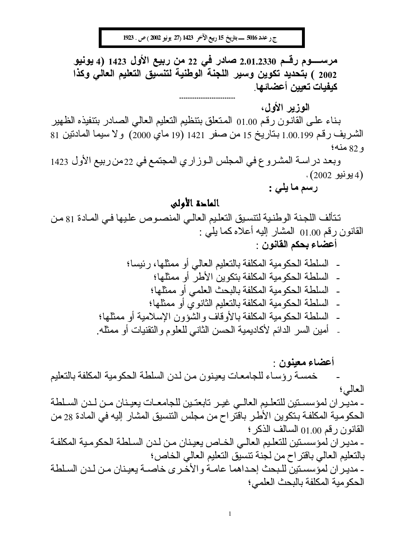ج رعدد 5016 ــــ بتاريخ 15 ربيع الآخر 1423 (27 يونيو 2002 ) ص . 1923

مرســــــوم رقـــم 2.01.2330 صــادر فـي 22 من ربيع الأول 1423 (4 يونيو 2002 ) بتحديد تكوين وسير اللجنة الوطنية لتنسيق التعليم العالى وكذا كيفيات تعيين أعضائها

الموزير الأول،

بناء على القانون رقم 1.00 المتعلق بنتظيم التعليم العالي الصادر بنتفيذه الظهير الشريف رقم 1.00.199 بناريخ 15 من صفر 1421 (19 ماي 2000) ولا سيما المادنين 81 و 82 منه؛

وبعد در اســة المشـر و ع في المجلس الــوز ار ي المجتمع في 22من ربيع الأول 1423 (4 يونيو 2002) ،

رسم ما يلي :

# الماحة الأولى

تتألف اللجنة الوطنية لتتسيق التعليم العالى المنصوص عليها في المـادة 81 مـن القانون رقم 01.00 المشار إليه أعلاه كما يلِّي : أعضاء بحكم القانون :

> السلطة الحكومية المكلفة بالتعليم العالى أو ممثلها، رئيسا؛ - السلطة الحكومية المكلفة بتكوين الأطر أو ممثلها؛ - السلطة الحكومية المكلفة بالبحث العلمي أو ممثلها؛ - السلطة الحكومية المكلفة بالتعليم الثانو ي أو ممثلها؛ - السلطة الحكومية المكلفة بالأوقاف والشؤون الإسلامية أو ممثلها؛ - أمين السر الدائم لأكاديمية الحسن الثاني للعلوم والنقنيات أو ممثله.

أعضاء معينون · خمسة رؤساء للجامعات يعينون من لدن السلطة الحكومية المكلفة بالتعليم العالى؛ - مديـر ان لمؤسسـتين للتعلـيم الـعالــي غيـر تابـعتـين للـجامعــات يـعيـنـان مــن لــدن السـلطـة الحكومية المكلفة بنكوين الأطر باقتراح من مجلس النتسيق المشار إليه في المادة 28 من القانون رقم 01.00 السالف الذكر ؛ - مدير ان لمؤسستين للتعليم العالي الخاص يعينان من لدن السلطة الحكومية المكلفة بالتعليم العالي باقتر اح من لجنة نتسيق التعليم العالي الخاص؛ - مدير ان لمؤسستين للبحث إحداهما عامــة و الأخـر ي خاصــة بعيـنـان مـن لـدن السـلطـة الحكو مية المكلفة بالبحث العلمي؛